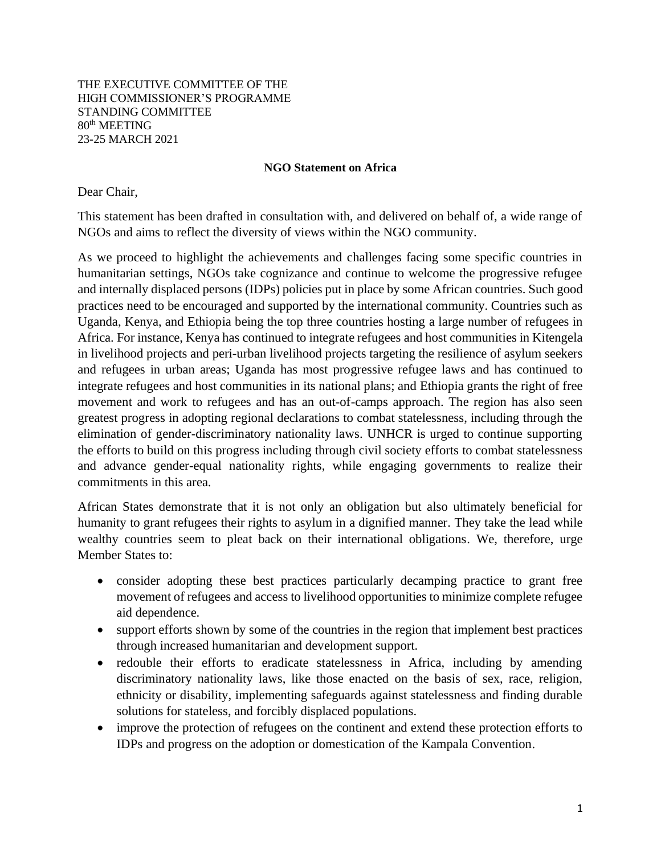#### THE EXECUTIVE COMMITTEE OF THE HIGH COMMISSIONER'S PROGRAMME STANDING COMMITTEE 80th MEETING 23-25 MARCH 2021

#### **NGO Statement on Africa**

#### Dear Chair,

This statement has been drafted in consultation with, and delivered on behalf of, a wide range of NGOs and aims to reflect the diversity of views within the NGO community.

As we proceed to highlight the achievements and challenges facing some specific countries in humanitarian settings, NGOs take cognizance and continue to welcome the progressive refugee and internally displaced persons (IDPs) policies put in place by some African countries. Such good practices need to be encouraged and supported by the international community. Countries such as Uganda, Kenya, and Ethiopia being the top three countries hosting a large number of refugees in Africa. For instance, Kenya has continued to integrate refugees and host communities in Kitengela in livelihood projects and peri-urban livelihood projects targeting the resilience of asylum seekers and refugees in urban areas; Uganda has most progressive refugee laws and has continued to integrate refugees and host communities in its national plans; and Ethiopia grants the right of free movement and work to refugees and has an out-of-camps approach. The region has also seen greatest progress in adopting regional declarations to combat statelessness, including through the elimination of gender-discriminatory nationality laws. UNHCR is urged to continue supporting the efforts to build on this progress including through civil society efforts to combat statelessness and advance gender-equal nationality rights, while engaging governments to realize their commitments in this area.

African States demonstrate that it is not only an obligation but also ultimately beneficial for humanity to grant refugees their rights to asylum in a dignified manner. They take the lead while wealthy countries seem to pleat back on their international obligations. We, therefore, urge Member States to:

- consider adopting these best practices particularly decamping practice to grant free movement of refugees and access to livelihood opportunities to minimize complete refugee aid dependence.
- support efforts shown by some of the countries in the region that implement best practices through increased humanitarian and development support.
- redouble their efforts to eradicate statelessness in Africa, including by amending discriminatory nationality laws, like those enacted on the basis of sex, race, religion, ethnicity or disability, implementing safeguards against statelessness and finding durable solutions for stateless, and forcibly displaced populations.
- improve the protection of refugees on the continent and extend these protection efforts to IDPs and progress on the adoption or domestication of the Kampala Convention.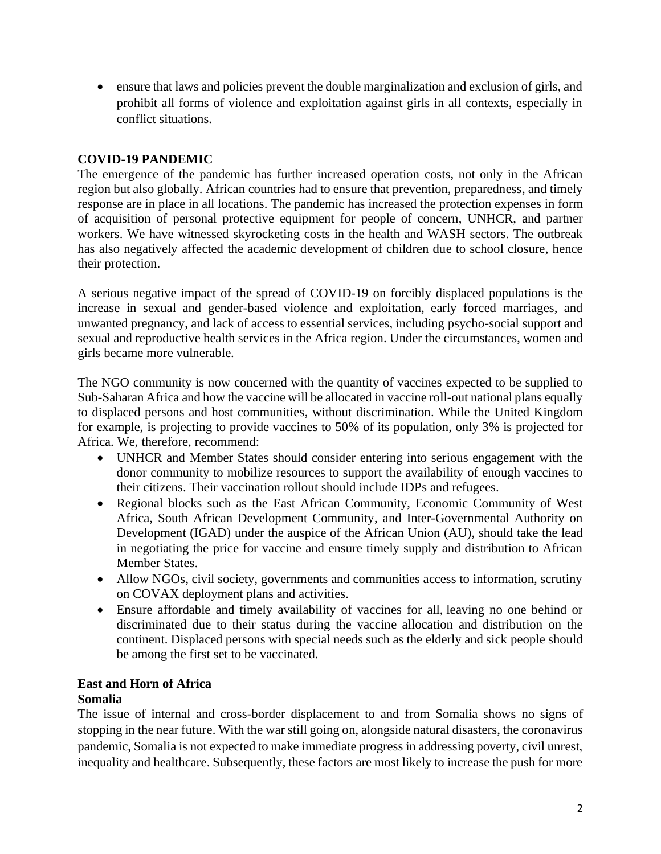• ensure that laws and policies prevent the double marginalization and exclusion of girls, and prohibit all forms of violence and exploitation against girls in all contexts, especially in conflict situations.

# **COVID-19 PANDEMIC**

The emergence of the pandemic has further increased operation costs, not only in the African region but also globally. African countries had to ensure that prevention, preparedness, and timely response are in place in all locations. The pandemic has increased the protection expenses in form of acquisition of personal protective equipment for people of concern, UNHCR, and partner workers. We have witnessed skyrocketing costs in the health and WASH sectors. The outbreak has also negatively affected the academic development of children due to school closure, hence their protection.

A serious negative impact of the spread of COVID-19 on forcibly displaced populations is the increase in sexual and gender-based violence and exploitation, early forced marriages, and unwanted pregnancy, and lack of access to essential services, including psycho-social support and sexual and reproductive health services in the Africa region. Under the circumstances, women and girls became more vulnerable.

The NGO community is now concerned with the quantity of vaccines expected to be supplied to Sub-Saharan Africa and how the vaccine will be allocated in vaccine roll-out national plans equally to displaced persons and host communities, without discrimination. While the United Kingdom for example, is projecting to provide vaccines to 50% of its population, only 3% is projected for Africa. We, therefore, recommend:

- UNHCR and Member States should consider entering into serious engagement with the donor community to mobilize resources to support the availability of enough vaccines to their citizens. Their vaccination rollout should include IDPs and refugees.
- Regional blocks such as the East African Community, Economic Community of West Africa, South African Development Community, and Inter-Governmental Authority on Development (IGAD) under the auspice of the African Union (AU), should take the lead in negotiating the price for vaccine and ensure timely supply and distribution to African Member States.
- Allow NGOs, civil society, governments and communities access to information, scrutiny on COVAX deployment plans and activities.
- Ensure affordable and timely availability of vaccines for all, leaving no one behind or discriminated due to their status during the vaccine allocation and distribution on the continent. Displaced persons with special needs such as the elderly and sick people should be among the first set to be vaccinated.

# **East and Horn of Africa**

# **Somalia**

The issue of internal and cross-border displacement to and from Somalia shows no signs of stopping in the near future. With the war still going on, alongside natural disasters, the coronavirus pandemic, Somalia is not expected to make immediate progress in addressing poverty, civil unrest, inequality and healthcare. Subsequently, these factors are most likely to increase the push for more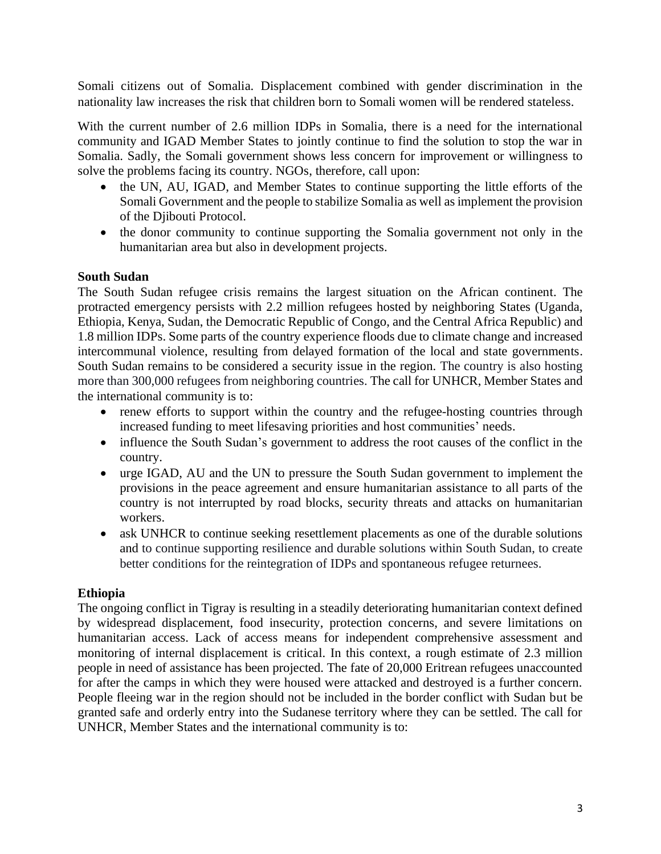Somali citizens out of Somalia. Displacement combined with gender discrimination in the nationality law increases the risk that children born to Somali women will be rendered stateless.

With the current number of 2.6 million IDPs in Somalia, there is a need for the international community and IGAD Member States to jointly continue to find the solution to stop the war in Somalia. Sadly, the Somali government shows less concern for improvement or willingness to solve the problems facing its country. NGOs, therefore, call upon:

- the UN, AU, IGAD, and Member States to continue supporting the little efforts of the Somali Government and the people to stabilize Somalia as well as implement the provision of the Djibouti Protocol.
- the donor community to continue supporting the Somalia government not only in the humanitarian area but also in development projects.

### **South Sudan**

The South Sudan refugee crisis remains the largest situation on the African continent. The protracted emergency persists with 2.2 million refugees hosted by neighboring States (Uganda, Ethiopia, Kenya, Sudan, the Democratic Republic of Congo, and the Central Africa Republic) and 1.8 million IDPs. Some parts of the country experience floods due to climate change and increased intercommunal violence, resulting from delayed formation of the local and state governments. South Sudan remains to be considered a security issue in the region. The country is also hosting more than 300,000 refugees from neighboring countries. The call for UNHCR, Member States and the international community is to:

- renew efforts to support within the country and the refugee-hosting countries through increased funding to meet lifesaving priorities and host communities' needs.
- influence the South Sudan's government to address the root causes of the conflict in the country.
- urge IGAD, AU and the UN to pressure the South Sudan government to implement the provisions in the peace agreement and ensure humanitarian assistance to all parts of the country is not interrupted by road blocks, security threats and attacks on humanitarian workers.
- ask UNHCR to continue seeking resettlement placements as one of the durable solutions and to continue supporting resilience and durable solutions within South Sudan, to create better conditions for the reintegration of IDPs and spontaneous refugee returnees.

#### **Ethiopia**

The ongoing conflict in Tigray is resulting in a steadily deteriorating humanitarian context defined by widespread displacement, food insecurity, protection concerns, and severe limitations on humanitarian access. Lack of access means for independent comprehensive assessment and monitoring of internal displacement is critical. In this context, a rough estimate of 2.3 million people in need of assistance has been projected. The fate of 20,000 Eritrean refugees unaccounted for after the camps in which they were housed were attacked and destroyed is a further concern. People fleeing war in the region should not be included in the border conflict with Sudan but be granted safe and orderly entry into the Sudanese territory where they can be settled. The call for UNHCR, Member States and the international community is to: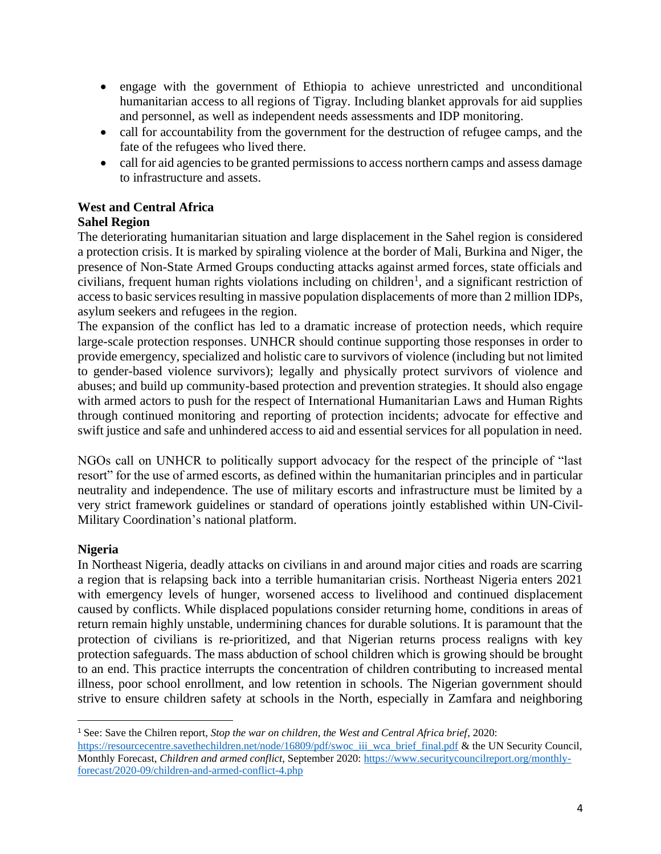- engage with the government of Ethiopia to achieve unrestricted and unconditional humanitarian access to all regions of Tigray. Including blanket approvals for aid supplies and personnel, as well as independent needs assessments and IDP monitoring.
- call for accountability from the government for the destruction of refugee camps, and the fate of the refugees who lived there.
- call for aid agencies to be granted permissions to access northern camps and assess damage to infrastructure and assets.

# **West and Central Africa**

# **Sahel Region**

The deteriorating humanitarian situation and large displacement in the Sahel region is considered a protection crisis. It is marked by spiraling violence at the border of Mali, Burkina and Niger, the presence of Non-State Armed Groups conducting attacks against armed forces, state officials and civilians, frequent human rights violations including on children<sup>1</sup>, and a significant restriction of access to basic services resulting in massive population displacements of more than 2 million IDPs, asylum seekers and refugees in the region.

The expansion of the conflict has led to a dramatic increase of protection needs, which require large-scale protection responses. UNHCR should continue supporting those responses in order to provide emergency, specialized and holistic care to survivors of violence (including but not limited to gender-based violence survivors); legally and physically protect survivors of violence and abuses; and build up community-based protection and prevention strategies. It should also engage with armed actors to push for the respect of International Humanitarian Laws and Human Rights through continued monitoring and reporting of protection incidents; advocate for effective and swift justice and safe and unhindered access to aid and essential services for all population in need.

NGOs call on UNHCR to politically support advocacy for the respect of the principle of "last resort" for the use of armed escorts, as defined within the humanitarian principles and in particular neutrality and independence. The use of military escorts and infrastructure must be limited by a very strict framework guidelines or standard of operations jointly established within UN-Civil-Military Coordination's national platform.

# **Nigeria**

In Northeast Nigeria, deadly attacks on civilians in and around major cities and roads are scarring a region that is relapsing back into a terrible humanitarian crisis. Northeast Nigeria enters 2021 with emergency levels of hunger, worsened access to livelihood and continued displacement caused by conflicts. While displaced populations consider returning home, conditions in areas of return remain highly unstable, undermining chances for durable solutions. It is paramount that the protection of civilians is re-prioritized, and that Nigerian returns process realigns with key protection safeguards. The mass abduction of school children which is growing should be brought to an end. This practice interrupts the concentration of children contributing to increased mental illness, poor school enrollment, and low retention in schools. The Nigerian government should strive to ensure children safety at schools in the North, especially in Zamfara and neighboring

<sup>1</sup> See: Save the Chilren report, *Stop the war on children, the West and Central Africa brief*, 2020:

[https://resourcecentre.savethechildren.net/node/16809/pdf/swoc\\_iii\\_wca\\_brief\\_final.pdf](https://resourcecentre.savethechildren.net/node/16809/pdf/swoc_iii_wca_brief_final.pdf) & the UN Security Council, Monthly Forecast, *Children and armed conflict*, September 2020: [https://www.securitycouncilreport.org/monthly](https://www.securitycouncilreport.org/monthly-forecast/2020-09/children-and-armed-conflict-4.php)[forecast/2020-09/children-and-armed-conflict-4.php](https://www.securitycouncilreport.org/monthly-forecast/2020-09/children-and-armed-conflict-4.php)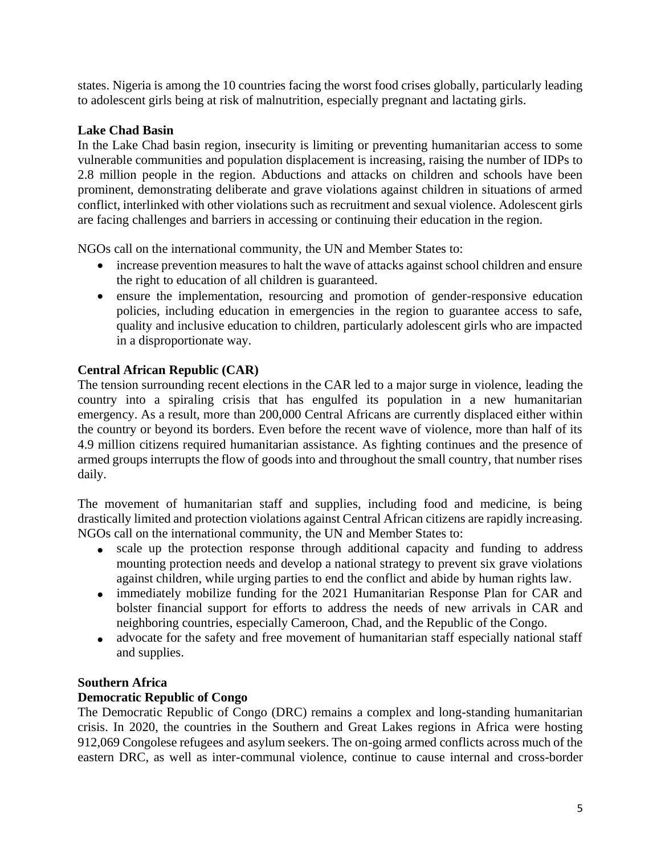states. Nigeria is among the 10 countries facing the worst food crises globally, particularly leading to adolescent girls being at risk of malnutrition, especially pregnant and lactating girls.

# **Lake Chad Basin**

In the Lake Chad basin region, insecurity is limiting or preventing humanitarian access to some vulnerable communities and population displacement is increasing, raising the number of IDPs to 2.8 million people in the region. Abductions and attacks on children and schools have been prominent, demonstrating deliberate and grave violations against children in situations of armed conflict, interlinked with other violations such as recruitment and sexual violence. Adolescent girls are facing challenges and barriers in accessing or continuing their education in the region.

NGOs call on the international community, the UN and Member States to:

- increase prevention measures to halt the wave of attacks against school children and ensure the right to education of all children is guaranteed.
- ensure the implementation, resourcing and promotion of gender-responsive education policies, including education in emergencies in the region to guarantee access to safe, quality and inclusive education to children, particularly adolescent girls who are impacted in a disproportionate way.

# **Central African Republic (CAR)**

The tension surrounding recent elections in the CAR led to a major surge in violence, leading the country into a spiraling crisis that has engulfed its population in a new humanitarian emergency. As a result, more than 200,000 Central Africans are currently displaced either within the country or beyond its borders. Even before the recent wave of violence, more than half of its 4.9 million citizens required humanitarian assistance. As fighting continues and the presence of armed groups interrupts the flow of goods into and throughout the small country, that number rises daily.

The movement of humanitarian staff and supplies, including food and medicine, is being drastically limited and protection violations against Central African citizens are rapidly increasing. NGOs call on the international community, the UN and Member States to:

- scale up the protection response through additional capacity and funding to address mounting protection needs and develop a national strategy to prevent six grave violations against children, while urging parties to end the conflict and abide by human rights law.
- immediately mobilize funding for the 2021 Humanitarian Response Plan for CAR and bolster financial support for efforts to address the needs of new arrivals in CAR and neighboring countries, especially Cameroon, Chad, and the Republic of the Congo.
- advocate for the safety and free movement of humanitarian staff especially national staff and supplies.

# **Southern Africa**

# **Democratic Republic of Congo**

The Democratic Republic of Congo (DRC) remains a complex and long-standing humanitarian crisis. In 2020, the countries in the Southern and Great Lakes regions in Africa were hosting 912,069 Congolese refugees and asylum seekers. The on-going armed conflicts across much of the eastern DRC, as well as inter-communal violence, continue to cause internal and cross-border